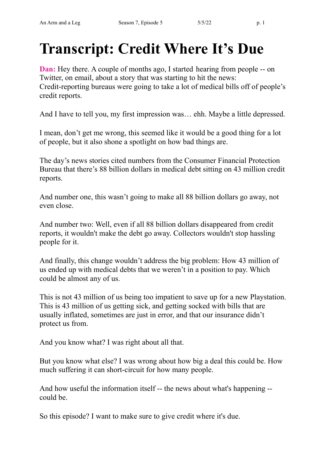# **Transcript: Credit Where It's Due**

**Dan:** Hey there. A couple of months ago, I started hearing from people -- on Twitter, on email, about a story that was starting to hit the news: Credit-reporting bureaus were going to take a lot of medical bills off of people's credit reports.

And I have to tell you, my first impression was… ehh. Maybe a little depressed.

I mean, don't get me wrong, this seemed like it would be a good thing for a lot of people, but it also shone a spotlight on how bad things are.

The day's news stories cited numbers from the Consumer Financial Protection Bureau that there's 88 billion dollars in medical debt sitting on 43 million credit reports.

And number one, this wasn't going to make all 88 billion dollars go away, not even close.

And number two: Well, even if all 88 billion dollars disappeared from credit reports, it wouldn't make the debt go away. Collectors wouldn't stop hassling people for it.

And finally, this change wouldn't address the big problem: How 43 million of us ended up with medical debts that we weren't in a position to pay. Which could be almost any of us.

This is not 43 million of us being too impatient to save up for a new Playstation. This is 43 million of us getting sick, and getting socked with bills that are usually inflated, sometimes are just in error, and that our insurance didn't protect us from.

And you know what? I was right about all that.

But you know what else? I was wrong about how big a deal this could be. How much suffering it can short-circuit for how many people.

And how useful the information itself -- the news about what's happening - could be.

So this episode? I want to make sure to give credit where it's due.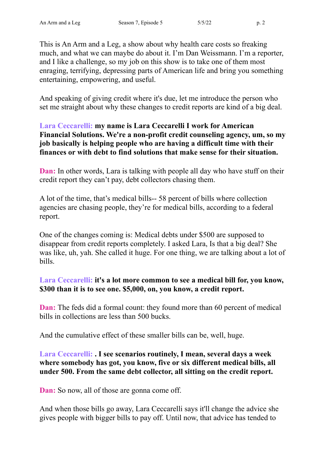This is An Arm and a Leg, a show about why health care costs so freaking much, and what we can maybe do about it. I'm Dan Weissmann. I'm a reporter, and I like a challenge, so my job on this show is to take one of them most enraging, terrifying, depressing parts of American life and bring you something entertaining, empowering, and useful.

And speaking of giving credit where it's due, let me introduce the person who set me straight about why these changes to credit reports are kind of a big deal.

#### **Lara Ceccarelli: my name is Lara Ceccarelli I work for American Financial Solutions. We're a non-profit credit counseling agency, um, so my job basically is helping people who are having a difficult time with their finances or with debt to find solutions that make sense for their situation.**

**Dan:** In other words, Lara is talking with people all day who have stuff on their credit report they can't pay, debt collectors chasing them.

A lot of the time, that's medical bills-- 58 percent of bills where collection agencies are chasing people, they're for medical bills, according to a federal report.

One of the changes coming is: Medical debts under \$500 are supposed to disappear from credit reports completely. I asked Lara, Is that a big deal? She was like, uh, yah. She called it huge. For one thing, we are talking about a lot of bills.

## **Lara Ceccarelli: it's a lot more common to see a medical bill for, you know, \$300 than it is to see one. \$5,000, on, you know, a credit report.**

**Dan:** The feds did a formal count: they found more than 60 percent of medical bills in collections are less than 500 bucks.

And the cumulative effect of these smaller bills can be, well, huge.

## **Lara Ceccarelli: . I see scenarios routinely, I mean, several days a week where somebody has got, you know, five or six different medical bills, all under 500. From the same debt collector, all sitting on the credit report.**

**Dan:** So now, all of those are gonna come off.

And when those bills go away, Lara Ceccarelli says it'll change the advice she gives people with bigger bills to pay off. Until now, that advice has tended to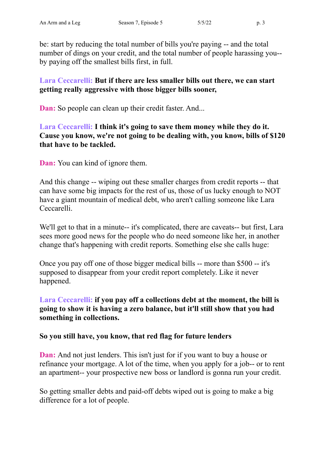be: start by reducing the total number of bills you're paying -- and the total number of dings on your credit, and the total number of people harassing you- by paying off the smallest bills first, in full.

**Lara Ceccarelli: But if there are less smaller bills out there, we can start getting really aggressive with those bigger bills sooner,**

**Dan:** So people can clean up their credit faster. And...

**Lara Ceccarelli: I think it's going to save them money while they do it. Cause you know, we're not going to be dealing with, you know, bills of \$120 that have to be tackled.**

**Dan:** You can kind of ignore them.

And this change -- wiping out these smaller charges from credit reports -- that can have some big impacts for the rest of us, those of us lucky enough to NOT have a giant mountain of medical debt, who aren't calling someone like Lara Ceccarelli.

We'll get to that in a minute-- it's complicated, there are caveats-- but first, Lara sees more good news for the people who do need someone like her, in another change that's happening with credit reports. Something else she calls huge:

Once you pay off one of those bigger medical bills -- more than \$500 -- it's supposed to disappear from your credit report completely. Like it never happened.

**Lara Ceccarelli: if you pay off a collections debt at the moment, the bill is going to show it is having a zero balance, but it'll still show that you had something in collections.**

#### **So you still have, you know, that red flag for future lenders**

**Dan:** And not just lenders. This isn't just for if you want to buy a house or refinance your mortgage. A lot of the time, when you apply for a job-- or to rent an apartment-- your prospective new boss or landlord is gonna run your credit.

So getting smaller debts and paid-off debts wiped out is going to make a big difference for a lot of people.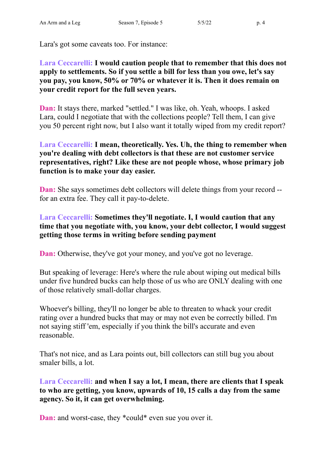Lara's got some caveats too. For instance:

### **Lara Ceccarelli: I would caution people that to remember that this does not apply to settlements. So if you settle a bill for less than you owe, let's say you pay, you know, 50% or 70% or whatever it is. Then it does remain on your credit report for the full seven years.**

**Dan:** It stays there, marked "settled." I was like, oh. Yeah, whoops. I asked Lara, could I negotiate that with the collections people? Tell them, I can give you 50 percent right now, but I also want it totally wiped from my credit report?

### **Lara Ceccarelli: I mean, theoretically. Yes. Uh, the thing to remember when you're dealing with debt collectors is that these are not customer service representatives, right? Like these are not people whose, whose primary job function is to make your day easier.**

**Dan:** She says sometimes debt collectors will delete things from your record -for an extra fee. They call it pay-to-delete.

## **Lara Ceccarelli: Sometimes they'll negotiate. I, I would caution that any time that you negotiate with, you know, your debt collector, I would suggest getting those terms in writing before sending payment**

**Dan:** Otherwise, they've got your money, and you've got no leverage.

But speaking of leverage: Here's where the rule about wiping out medical bills under five hundred bucks can help those of us who are ONLY dealing with one of those relatively small-dollar charges.

Whoever's billing, they'll no longer be able to threaten to whack your credit rating over a hundred bucks that may or may not even be correctly billed. I'm not saying stiff 'em, especially if you think the bill's accurate and even reasonable.

That's not nice, and as Lara points out, bill collectors can still bug you about smaler bills, a lot.

**Lara Ceccarelli: and when I say a lot, I mean, there are clients that I speak to who are getting, you know, upwards of 10, 15 calls a day from the same agency. So it, it can get overwhelming.**

**Dan:** and worst-case, they \*could\* even sue you over it.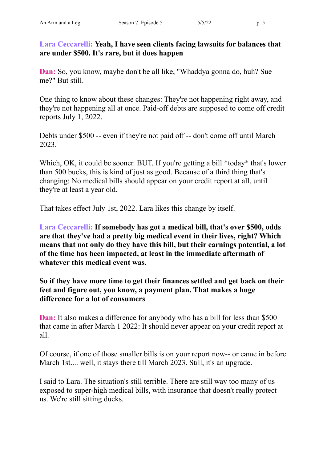**Lara Ceccarelli: Yeah, I have seen clients facing lawsuits for balances that are under \$500. It's rare, but it does happen**

**Dan:** So, you know, maybe don't be all like, "Whaddya gonna do, huh? Sue me?" But still.

One thing to know about these changes: They're not happening right away, and they're not happening all at once. Paid-off debts are supposed to come off credit reports July 1, 2022.

Debts under \$500 -- even if they're not paid off -- don't come off until March 2023.

Which, OK, it could be sooner. BUT. If you're getting a bill \*today\* that's lower than 500 bucks, this is kind of just as good. Because of a third thing that's changing: No medical bills should appear on your credit report at all, until they're at least a year old.

That takes effect July 1st, 2022. Lara likes this change by itself.

**Lara Ceccarelli: If somebody has got a medical bill, that's over \$500, odds are that they've had a pretty big medical event in their lives, right? Which means that not only do they have this bill, but their earnings potential, a lot of the time has been impacted, at least in the immediate aftermath of whatever this medical event was.**

**So if they have more time to get their finances settled and get back on their feet and figure out, you know, a payment plan. That makes a huge difference for a lot of consumers**

**Dan:** It also makes a difference for anybody who has a bill for less than \$500 that came in after March 1 2022: It should never appear on your credit report at all.

Of course, if one of those smaller bills is on your report now-- or came in before March 1st..., well, it stays there till March 2023. Still, it's an upgrade.

I said to Lara. The situation's still terrible. There are still way too many of us exposed to super-high medical bills, with insurance that doesn't really protect us. We're still sitting ducks.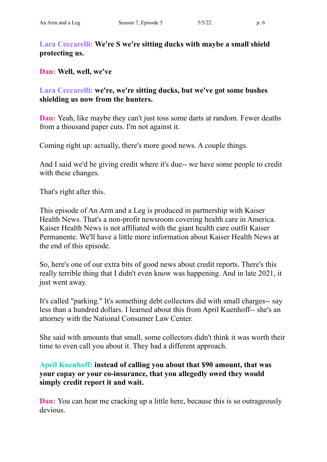# **Lara Ceccarelli: We're S we're sitting ducks with maybe a small shield protecting us.**

**Dan: Well, well, we've**

**Lara Ceccarelli: we're, we're sitting ducks, but we've got some bushes shielding us now from the hunters.**

**Dan:** Yeah, like maybe they can't just toss some darts at random. Fewer deaths from a thousand paper cuts. I'm not against it.

Coming right up: actually, there's more good news. A couple things.

And I said we'd be giving credit where it's due-- we have some people to credit with these changes.

That's right after this.

This episode of An Arm and a Leg is produced in partnership with Kaiser Health News. That's a non-profit newsroom covering health care in America. Kaiser Health News is not affiliated with the giant health care outfit Kaiser Permanente. We'll have a little more information about Kaiser Health News at the end of this episode.

So, here's one of our extra bits of good news about credit reports. There's this really terrible thing that I didn't even know was happening. And in late 2021, it just went away.

It's called "parking." It's something debt collectors did with small charges-- say less than a hundred dollars. I learned about this from April Kuenhoff-- she's an attorney with the National Consumer Law Center.

She said with amounts that small, some collectors didn't think it was worth their time to even call you about it. They had a different approach.

## **April Kuenhoff: instead of calling you about that \$90 amount, that was your copay or your co-insurance, that you allegedly owed they would simply credit report it and wait.**

**Dan:** You can hear me cracking up a little here, because this is so outrageously devious.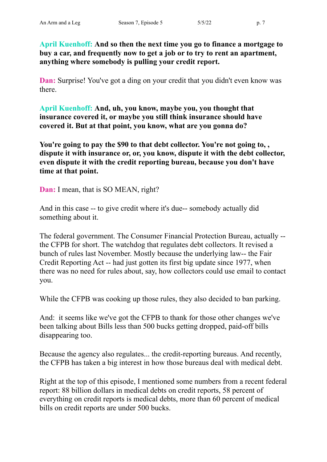**April Kuenhoff: And so then the next time you go to finance a mortgage to buy a car, and frequently now to get a job or to try to rent an apartment, anything where somebody is pulling your credit report.**

**Dan:** Surprise! You've got a ding on your credit that you didn't even know was there.

**April Kuenhoff: And, uh, you know, maybe you, you thought that insurance covered it, or maybe you still think insurance should have covered it. But at that point, you know, what are you gonna do?**

**You're going to pay the \$90 to that debt collector. You're not going to, , dispute it with insurance or, or, you know, dispute it with the debt collector, even dispute it with the credit reporting bureau, because you don't have time at that point.**

**Dan:** I mean, that is SO MEAN, right?

And in this case -- to give credit where it's due-- somebody actually did something about it.

The federal government. The Consumer Financial Protection Bureau, actually - the CFPB for short. The watchdog that regulates debt collectors. It revised a bunch of rules last November. Mostly because the underlying law-- the Fair Credit Reporting Act -- had just gotten its first big update since 1977, when there was no need for rules about, say, how collectors could use email to contact you.

While the CFPB was cooking up those rules, they also decided to ban parking.

And: it seems like we've got the CFPB to thank for those other changes we've been talking about Bills less than 500 bucks getting dropped, paid-off bills disappearing too.

Because the agency also regulates... the credit-reporting bureaus. And recently, the CFPB has taken a big interest in how those bureaus deal with medical debt.

Right at the top of this episode, I mentioned some numbers from a recent federal report: 88 billion dollars in medical debts on credit reports, 58 percent of everything on credit reports is medical debts, more than 60 percent of medical bills on credit reports are under 500 bucks.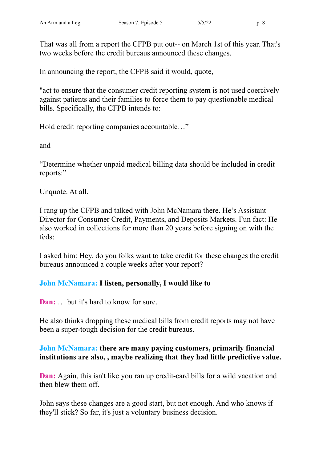That was all from a report the CFPB put out-- on March 1st of this year. That's two weeks before the credit bureaus announced these changes.

In announcing the report, the CFPB said it would, quote,

"act to ensure that the consumer credit reporting system is not used coercively against patients and their families to force them to pay questionable medical bills. Specifically, the CFPB intends to:

Hold credit reporting companies accountable…"

and

"Determine whether unpaid medical billing data should be included in credit reports:"

Unquote. At all.

I rang up the CFPB and talked with John McNamara there. He's Assistant Director for Consumer Credit, Payments, and Deposits Markets. Fun fact: He also worked in collections for more than 20 years before signing on with the feds:

I asked him: Hey, do you folks want to take credit for these changes the credit bureaus announced a couple weeks after your report?

# **John McNamara: I listen, personally, I would like to**

**Dan:** but it's hard to know for sure.

He also thinks dropping these medical bills from credit reports may not have been a super-tough decision for the credit bureaus.

## **John McNamara: there are many paying customers, primarily financial institutions are also, , maybe realizing that they had little predictive value.**

**Dan:** Again, this isn't like you ran up credit-card bills for a wild vacation and then blew them off.

John says these changes are a good start, but not enough. And who knows if they'll stick? So far, it's just a voluntary business decision.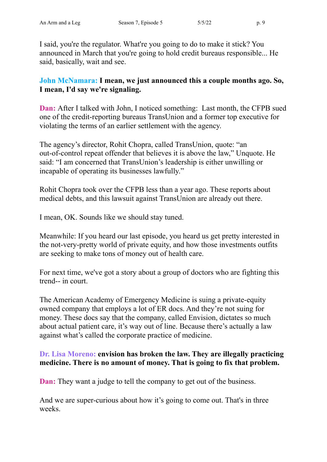I said, you're the regulator. What're you going to do to make it stick? You announced in March that you're going to hold credit bureaus responsible... He said, basically, wait and see.

**John McNamara: I mean, we just announced this a couple months ago. So, I mean, I'd say we're signaling.**

**Dan:** After I talked with John, I noticed something: Last month, the CFPB sued one of the credit-reporting bureaus TransUnion and a former top executive for violating the terms of an earlier settlement with the agency.

The agency's director, Rohit Chopra, called TransUnion, quote: "an out-of-control repeat offender that believes it is above the law," Unquote. He said: "I am concerned that TransUnion's leadership is either unwilling or incapable of operating its businesses lawfully."

Rohit Chopra took over the CFPB less than a year ago. These reports about medical debts, and this lawsuit against TransUnion are already out there.

I mean, OK. Sounds like we should stay tuned.

Meanwhile: If you heard our last episode, you heard us get pretty interested in the not-very-pretty world of private equity, and how those investments outfits are seeking to make tons of money out of health care.

For next time, we've got a story about a group of doctors who are fighting this trend-- in court.

The American Academy of Emergency Medicine is suing a private-equity owned company that employs a lot of ER docs. And they're not suing for money. These docs say that the company, called Envision, dictates so much about actual patient care, it's way out of line. Because there's actually a law against what's called the corporate practice of medicine.

## **Dr. Lisa Moreno: envision has broken the law. They are illegally practicing medicine. There is no amount of money. That is going to fix that problem.**

**Dan:** They want a judge to tell the company to get out of the business.

And we are super-curious about how it's going to come out. That's in three weeks.